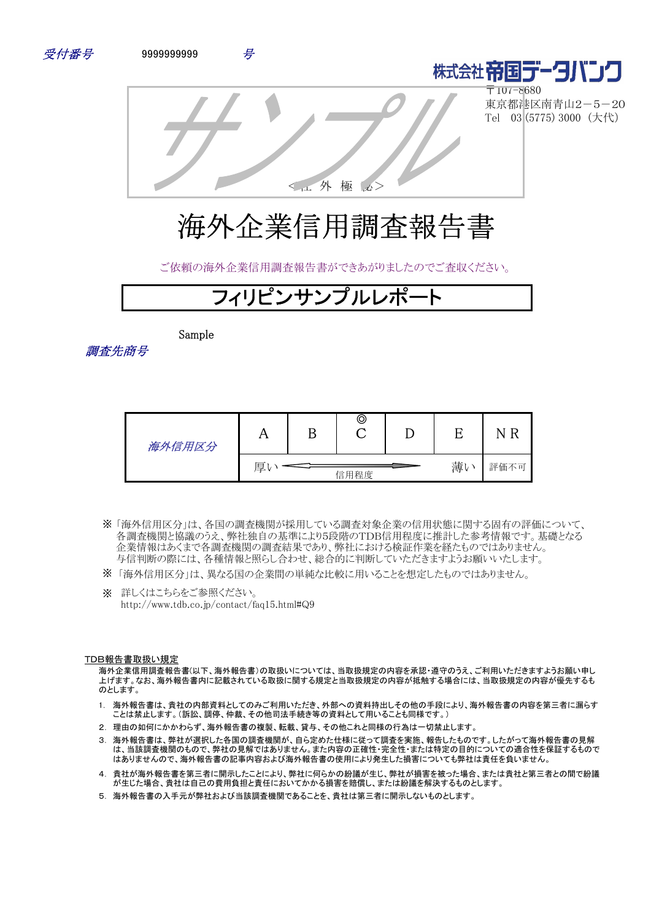





〒107-8680 東京都港区南青山2-5-20 Tel 03 (5775) 3000 (大代)

<社 外 極 秘>

# 海外企業信用調査報告書

ご依頼の海外企業信用調査報告書ができあがりましたのでご査収ください。

# **Zイリピンサンプルレポ**

Sample

調査先商号

| 海外信用区分 |   | ©    |   |      |
|--------|---|------|---|------|
|        | 厚 | 信用程度 | 薄 | 評価不可 |

- 「海外信用区分」は、各国の調査機関が採用している調査対象企業の信用状態に関する固有の評価について、 ※ 各調査機関と協議のうえ、弊社独自の基準により5段階のTDB信用程度に推計した参考情報です。基礎となる 企業情報はあくまで各調査機関の調査結果であり、弊社における検証作業を経たものではありません。 与信判断の際には、各種情報と照らし合わせ、総合的に判断していただきますようお願いいたします。
- ※ 「海外信用区分」は、異なる国の企業間の単純な比較に用いることを想定したものではありません。
- ※ 詳しくはこちらをご参照ください。 http://www.tdb.co.jp/contact/faq15.html#Q9

#### TDB報告書取扱い規定

海外企業信用調査報告書(以下、海外報告書)の取扱いについては、当取扱規定の内容を承認・遵守のうえ、ご利用いただきますようお願い申し 上げます。なお、海外報告書内に記載されている取扱に関する規定と当取扱規定の内容が抵触する場合には、当取扱規定の内容が優先するも のとします。

- 1. 海外報告書は、貴社の内部資料としてのみご利用いただき、外部への資料持出しその他の手段により、海外報告書の内容を第三者に漏らす ことは禁止します。(訴訟、調停、仲裁、その他司法手続き等の資料として用いることも同様です。)
- 2. 理由の如何にかかわらず、海外報告書の複製、転載、貸与、その他これと同様の行為は一切禁止します。
- 3. 海外報告書は、弊社が選択した各国の調査機関が、自ら定めた仕様に従って調査を実施、報告したものです。したがって海外報告書の見解 は、当該調査機関のもので、弊社の見解ではありません。また内容の正確性・完全性・または特定の目的についての適合性を保証するもので はありませんので、海外報告書の記事内容および海外報告書の使用により発生した損害についても弊社は責任を負いません。
- 4. 貴社が海外報告書を第三者に開示したことにより、弊社に何らかの紛議が生じ、弊社が損害を被った場合、または貴社と第三者との間で紛議 が生じた場合、貴社は自己の費用負担と責任においてかかる損害を賠償し、または紛議を解決するものとします。
- 5. 海外報告書の入手元が弊社および当該調査機関であることを、貴社は第三者に開示しないものとします。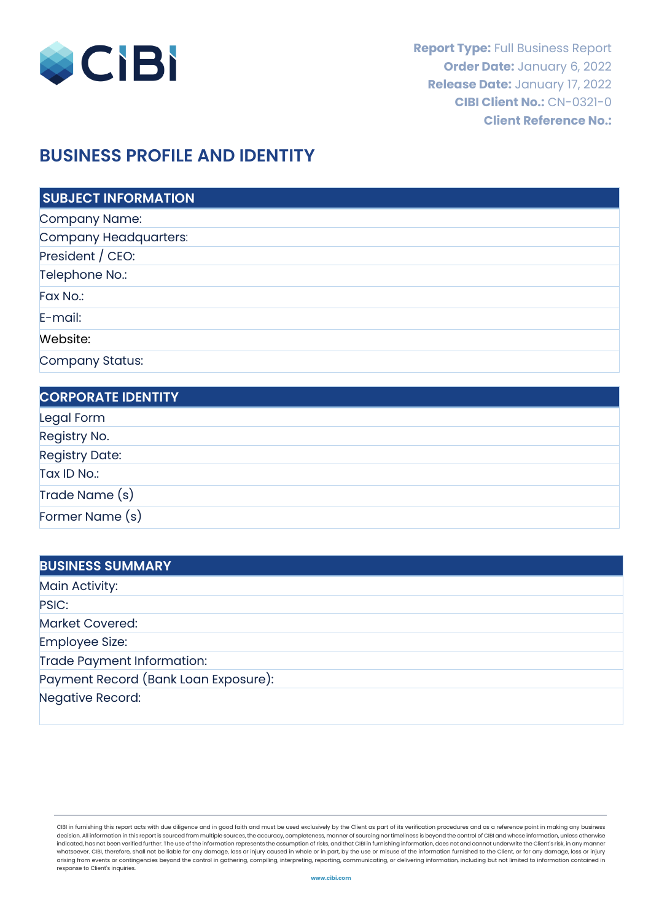

# **BUSINESS PROFILE AND IDENTITY**

| <b>SUBJECT INFORMATION</b> |
|----------------------------|
| Company Name:              |
| Company Headquarters:      |
| President / CEO:           |
| Telephone No.:             |
| Fax No.:                   |
| $E$ -mail:                 |
| Website:                   |
| Company Status:            |

| <b>CORPORATE IDENTITY</b> |  |
|---------------------------|--|
| Legal Form                |  |
| Registry No.              |  |
| <b>Registry Date:</b>     |  |
| Tax ID No.:               |  |
| Trade Name (s)            |  |
| Former Name (s)           |  |

| <b>BUSINESS SUMMARY</b>              |  |
|--------------------------------------|--|
| Main Activity:                       |  |
| PSIC:                                |  |
| <b>Market Covered:</b>               |  |
| Employee Size:                       |  |
| Trade Payment Information:           |  |
| Payment Record (Bank Loan Exposure): |  |
| Negative Record:                     |  |

CIBI in furnishing this report acts with due diligence and in good faith and must be used exclusively by the Client as part of its verification procedures and as a reference point in making any business decision. All information in this report is sourced from multiple sources, the accuracy, completeness, manner of sourcing nor timeliness is beyond the control of CIBI and whose information, unless otherwise indicated, has not been verified further. The use of the information represents the assumption of risks, and that CIBI in furnishing information, does not and cannot underwrite the Client's risk, in any manner whatsoever. CIBI, therefore, shall not be liable for any damage, loss or injury caused in whole or in part, by the use or misuse of the information furnished to the Client, or for any damage, loss or injury<br>arising from ev response to Client's inquiries.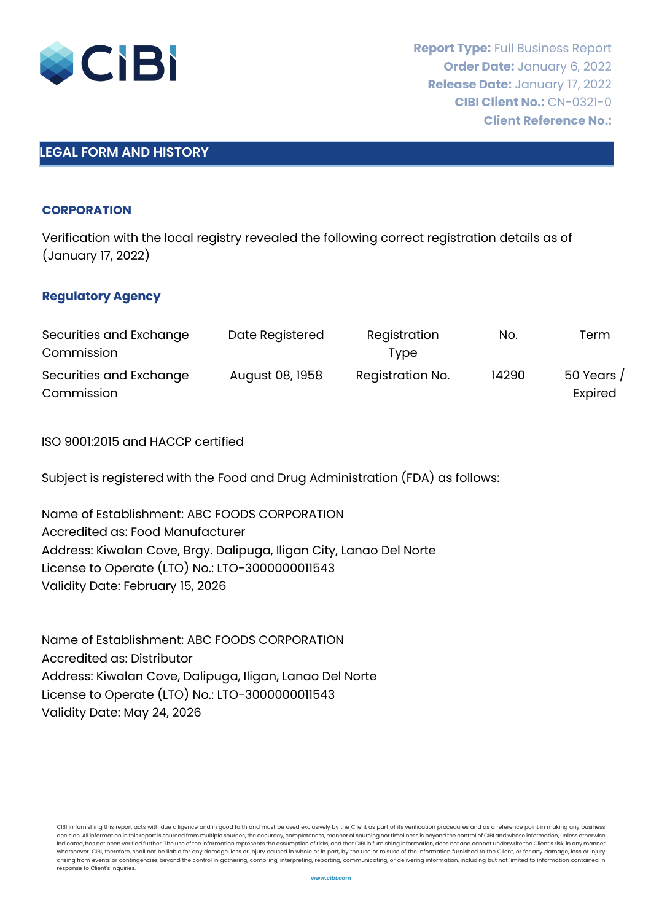

# **LEGAL FORM AND HISTORY**

#### **CORPORATION**

Verification with the local registry revealed the following correct registration details as of (January 17, 2022)

#### **Regulatory Agency**

| Securities and Exchange               | Date Registered | Registration     | No.   | Term                  |
|---------------------------------------|-----------------|------------------|-------|-----------------------|
| Commission                            |                 | Tvpe             |       |                       |
| Securities and Exchange<br>Commission | August 08, 1958 | Registration No. | 14290 | 50 Years /<br>Expired |

ISO 9001:2015 and HACCP certified

Subject is registered with the Food and Drug Administration (FDA) as follows:

Name of Establishment: ABC FOODS CORPORATION Accredited as: Food Manufacturer Address: Kiwalan Cove, Brgy. Dalipuga, Iligan City, Lanao Del Norte License to Operate (LTO) No.: LTO-3000000011543 Validity Date: February 15, 2026

Name of Establishment: ABC FOODS CORPORATION Accredited as: Distributor Address: Kiwalan Cove, Dalipuga, Iligan, Lanao Del Norte License to Operate (LTO) No.: LTO-3000000011543 Validity Date: May 24, 2026

CIBI in furnishing this report acts with due diligence and in good faith and must be used exclusively by the Client as part of its verification procedures and as a reference point in making any business<br>decision. All infor decision. All information in this report is sourced from multiple sources, the accuracy, completeness, manner of sourcing nor timeliness is beyond the control of CIBI and whose information, unle indicated, has not been verified further. The use of the information represents the assumption of risks, and that CIBI in furnishing information, does not and cannot underwrite the Client's risk, in any manner whatsoever. CIBI, therefore, shall not be liable for any damage, loss or injury caused in whole or in part, by the use or misuse of the information furnished to the Client, or for any damage, loss or injury arising from events or contingencies beyond the control in gathering, compiling, interpreting, reporting, communicating, or delivering information, including but not limited to information contained in response to Client's inquiries.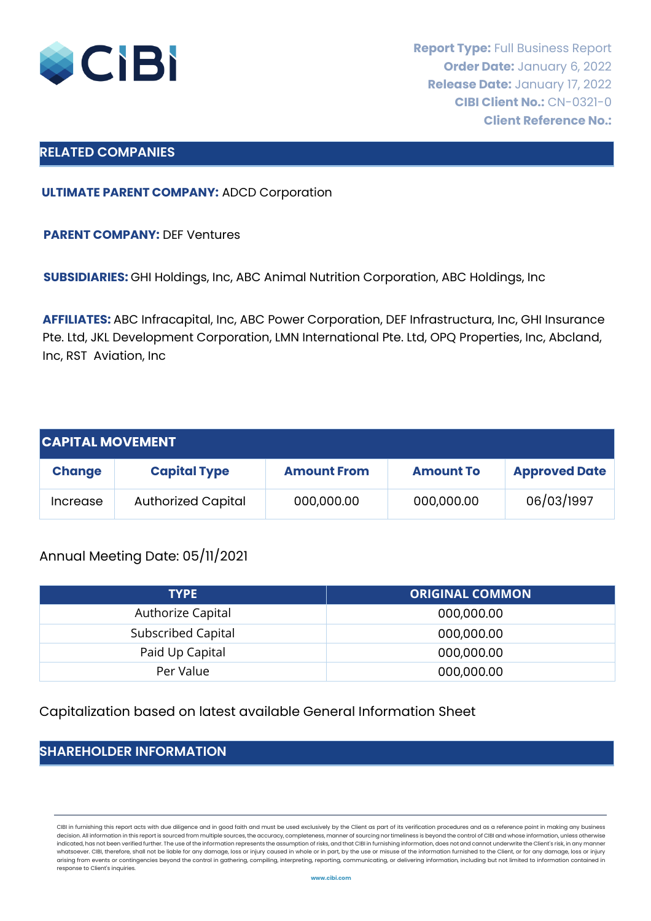

### **RELATED COMPANIES**

**ULTIMATE PARENT COMPANY:** ADCD Corporation

**PARENT COMPANY:** DEF Ventures

**SUBSIDIARIES:** GHI Holdings, Inc, ABC Animal Nutrition Corporation, ABC Holdings, Inc

**AFFILIATES:** ABC Infracapital, Inc, ABC Power Corporation, DEF Infrastructura, Inc, GHI Insurance Pte. Ltd, JKL Development Corporation, LMN International Pte. Ltd, OPQ Properties, Inc, Abcland, Inc, RST Aviation, Inc

| <b>CAPITAL MOVEMENT</b> |                           |                    |                  |                      |
|-------------------------|---------------------------|--------------------|------------------|----------------------|
| <b>Change</b>           | <b>Capital Type</b>       | <b>Amount From</b> | <b>Amount To</b> | <b>Approved Date</b> |
| Increase                | <b>Authorized Capital</b> | 000,000.00         | 000,000.00       | 06/03/1997           |

# Annual Meeting Date: 05/11/2021

| <b>TYPE</b>        | <b>ORIGINAL COMMON</b> |
|--------------------|------------------------|
| Authorize Capital  | 000,000.00             |
| Subscribed Capital | 000,000.00             |
| Paid Up Capital    | 000,000.00             |
| Per Value          | 000,000.00             |

Capitalization based on latest available General Information Sheet

# **SHAREHOLDER INFORMATION**

CIBI in furnishing this report acts with due diligence and in good faith and must be used exclusively by the Client as part of its verification procedures and as a reference point in making any business decision. All information in this report is sourced from multiple sources, the accuracy, completeness, manner of sourcing nor timeliness is beyond the control of CIBI and whose information, unless otherwise indicated, has not been verified further. The use of the information represents the assumption of risks, and that CIBI in furnishing information, does not and cannot underwrite the Client's risk, in any manner whatsoever. CIBI, therefore, shall not be liable for any damage, loss or injury caused in whole or in part, by the use or misuse of the information furnished to the Client, or for any damage, loss or injury arising from events or contingencies beyond the control in gathering, compiling, interpreting, reporting, communicating, or delivering information, including but not limited to information contained in response to Client's inquiries.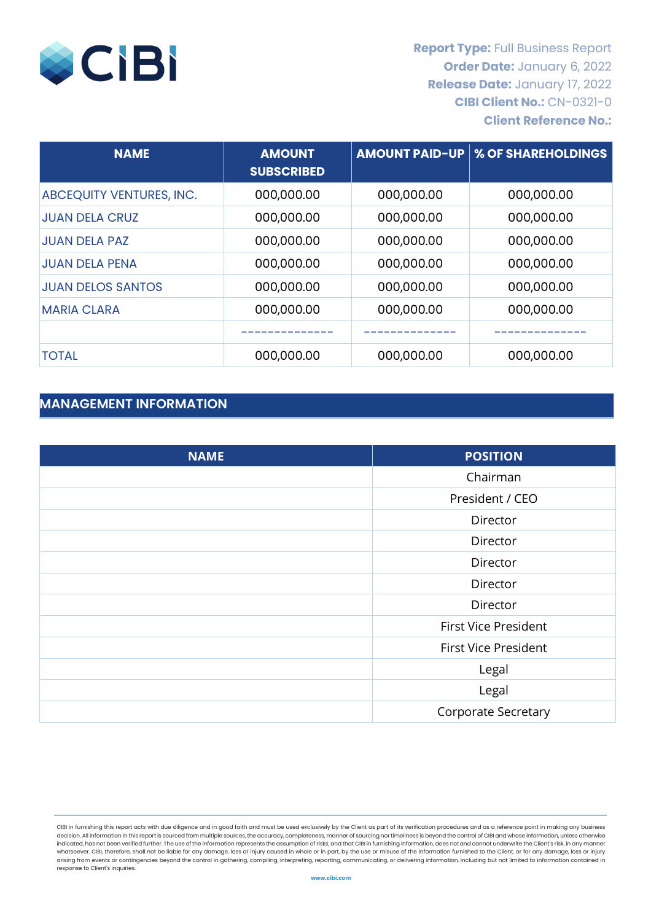

| <b>NAME</b>              | <b>AMOUNT</b><br><b>SUBSCRIBED</b> | <b>AMOUNT PAID-UP</b> | % OF SHAREHOLDINGS |
|--------------------------|------------------------------------|-----------------------|--------------------|
| ABCEQUITY VENTURES, INC. | 000,000.00                         | 000,000.00            | 000,000.00         |
| <b>JUAN DELA CRUZ</b>    | 000,000.00                         | 000,000.00            | 000,000.00         |
| <b>JUAN DELA PAZ</b>     | 000,000.00                         | 000,000.00            | 000,000.00         |
| <b>JUAN DELA PENA</b>    | 000,000.00                         | 000,000.00            | 000,000.00         |
| <b>JUAN DELOS SANTOS</b> | 000,000.00                         | 000,000.00            | 000,000.00         |
| <b>MARIA CLARA</b>       | 000,000.00                         | 000,000.00            | 000,000.00         |
|                          |                                    |                       |                    |
| <b>TOTAL</b>             | 000,000.00                         | 000,000.00            | 000,000.00         |

# **MANAGEMENT INFORMATION**

| <b>NAME</b> | <b>POSITION</b>             |
|-------------|-----------------------------|
|             | Chairman                    |
|             | President / CEO             |
|             | Director                    |
|             | Director                    |
|             | Director                    |
|             | Director                    |
|             | Director                    |
|             | <b>First Vice President</b> |
|             | <b>First Vice President</b> |
|             | Legal                       |
|             | Legal                       |
|             | <b>Corporate Secretary</b>  |

CIBI in furnishing this report acts with due diligence and in good faith and must be used exclusively by the Client as part of its verification procedures and as a reference point in making any business decision. All information in this report is sourced from multiple sources, the accuracy, completeness, manner of sourcing nor timeliness is beyond the control of CIBI and whose information, unless otherwise indicated, has not been verified further. The use of the information represents the assumption of risks, and that CIBI in furnishing information, does not and cannot underwrite the Client's risk, in any manner whatsoever. CIBI, therefore, shall not be liable for any damage, loss or injury caused in whole or in part, by the use or misuse of the information furnished to the Client, or for any damage, loss or injury arising from events or contingencies beyond the control in gathering, compiling, interpreting, reporting, communicating, or delivering information, including but not limited to information contained in response to Client's inquiries.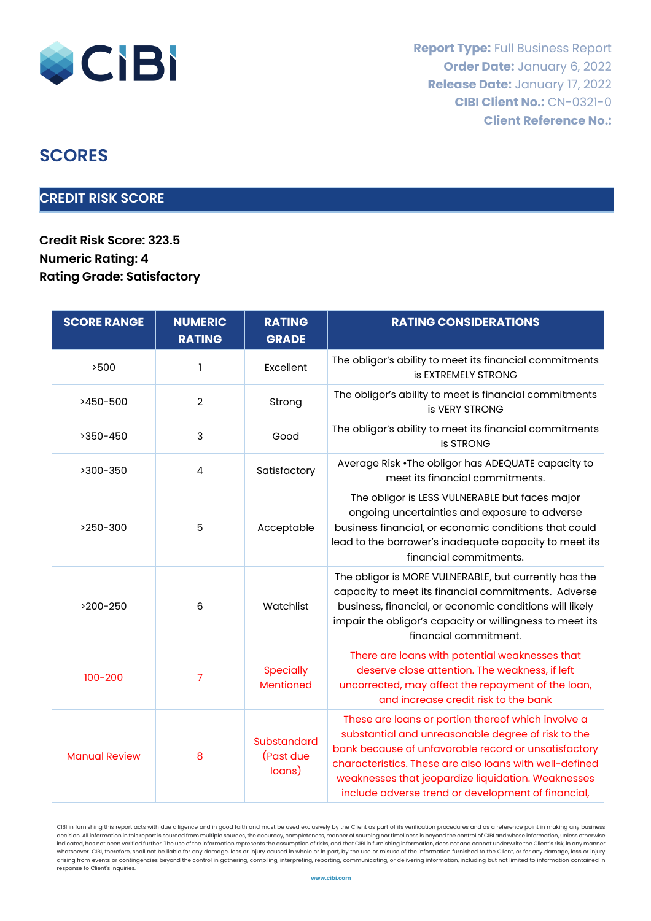

# **SCORES**

# **CREDIT RISK SCORE**

**Credit Risk Score: 323.5 Numeric Rating: 4 Rating Grade: Satisfactory**

| <b>SCORE RANGE</b>   | <b>NUMERIC</b><br><b>RATING</b> | <b>RATING</b><br><b>GRADE</b>      | <b>RATING CONSIDERATIONS</b>                                                                                                                                                                                                                                                                                                            |
|----------------------|---------------------------------|------------------------------------|-----------------------------------------------------------------------------------------------------------------------------------------------------------------------------------------------------------------------------------------------------------------------------------------------------------------------------------------|
| >500                 | 1                               | Excellent                          | The obligor's ability to meet its financial commitments<br><b>is EXTREMELY STRONG</b>                                                                                                                                                                                                                                                   |
| >450-500             | $\overline{2}$                  | Strong                             | The obligor's ability to meet is financial commitments<br>is VERY STRONG                                                                                                                                                                                                                                                                |
| >350-450             | 3                               | Good                               | The obligor's ability to meet its financial commitments<br>is STRONG                                                                                                                                                                                                                                                                    |
| >300-350             | 4                               | Satisfactory                       | Average Risk . The obligor has ADEQUATE capacity to<br>meet its financial commitments.                                                                                                                                                                                                                                                  |
| >250-300             | 5                               | Acceptable                         | The obligor is LESS VULNERABLE but faces major<br>ongoing uncertainties and exposure to adverse<br>business financial, or economic conditions that could<br>lead to the borrower's inadequate capacity to meet its<br>financial commitments.                                                                                            |
| >200-250             | 6                               | Watchlist                          | The obligor is MORE VULNERABLE, but currently has the<br>capacity to meet its financial commitments. Adverse<br>business, financial, or economic conditions will likely<br>impair the obligor's capacity or willingness to meet its<br>financial commitment.                                                                            |
| $100 - 200$          | 7                               | <b>Specially</b><br>Mentioned      | There are loans with potential weaknesses that<br>deserve close attention. The weakness, if left<br>uncorrected, may affect the repayment of the loan,<br>and increase credit risk to the bank                                                                                                                                          |
| <b>Manual Review</b> | 8                               | Substandard<br>(Past due<br>loans) | These are loans or portion thereof which involve a<br>substantial and unreasonable degree of risk to the<br>bank because of unfavorable record or unsatisfactory<br>characteristics. These are also loans with well-defined<br>weaknesses that jeopardize liquidation. Weaknesses<br>include adverse trend or development of financial, |

CIBI in furnishing this report acts with due diligence and in good faith and must be used exclusively by the Client as part of its verification procedures and as a reference point in making any business decision. All information in this report is sourced from multiple sources, the accuracy, completeness, manner of sourcing nor timeliness is beyond the control of CIBI and whose information, unless otherwise indicated, has not been verified further. The use of the information represents the assumption of risks, and that CIBI in furnishing information, does not and cannot underwrite the Client's risk, in any manner whatsoever. CIBI, therefore, shall not be liable for any damage, loss or injury caused in whole or in part, by the use or misuse of the information furnished to the Client, or for any damage, loss or injury arising from events or contingencies beyond the control in gathering, compiling, interpreting, reporting, communicating, or delivering information, including but not limited to information contained in response to Client's inquiries.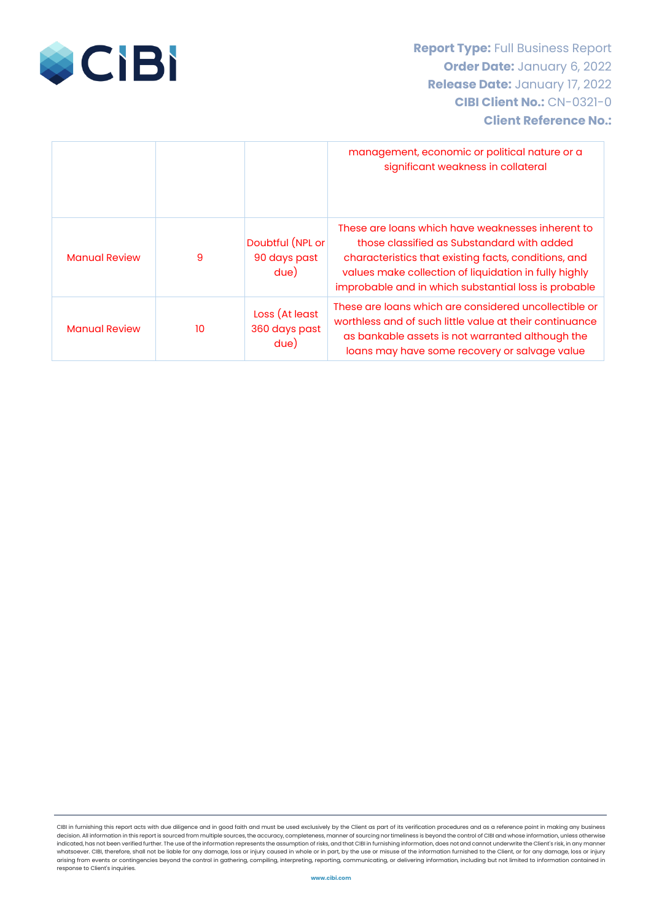

|                      |    |                                          | management, economic or political nature or a<br>significant weakness in collateral                                                                                                                                                                                      |
|----------------------|----|------------------------------------------|--------------------------------------------------------------------------------------------------------------------------------------------------------------------------------------------------------------------------------------------------------------------------|
| <b>Manual Review</b> | 9  | Doubtful (NPL or<br>90 days past<br>due) | These are loans which have weaknesses inherent to<br>those classified as Substandard with added<br>characteristics that existing facts, conditions, and<br>values make collection of liquidation in fully highly<br>improbable and in which substantial loss is probable |
| <b>Manual Review</b> | 10 | Loss (At least<br>360 days past<br>due)  | These are loans which are considered uncollectible or<br>worthless and of such little value at their continuance<br>as bankable assets is not warranted although the<br>loans may have some recovery or salvage value                                                    |

CIBI in furnishing this report acts with due diligence and in good faith and must be used exclusively by the Client as part of its verification procedures and as a reference point in making any business decision. All information in this report is sourced from multiple sources, the accuracy, completeness, manner of sourcing nor timeliness is beyond the control of CIBI and whose information, unless otherwise indicated, has not been verified further. The use of the information represents the assumption of risks, and that CIBI in furnishing information, does not and cannot underwrite the Client's risk, in any manner whatsoever. CIBI, therefore, shall not be liable for any damage, loss or injury caused in whole or in part, by the use or misuse of the information furnished to the Client, or for any damage, loss or injury<br>arising from ev response to Client's inquiries.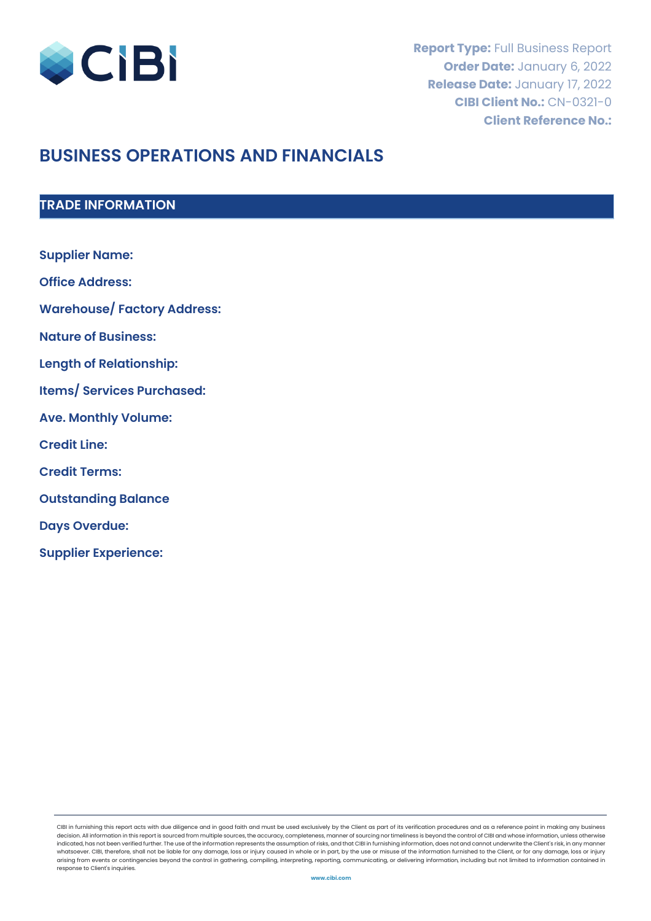

# **BUSINESS OPERATIONS AND FINANCIALS**

# **TRADE INFORMATION**

| <b>Supplier Name:</b>              |
|------------------------------------|
| <b>Office Address:</b>             |
| <b>Warehouse/ Factory Address:</b> |
| <b>Nature of Business:</b>         |
| <b>Length of Relationship:</b>     |
| <b>Items/ Services Purchased:</b>  |
| <b>Ave. Monthly Volume:</b>        |
| <b>Credit Line:</b>                |
| <b>Credit Terms:</b>               |
| <b>Outstanding Balance</b>         |
| <b>Days Overdue:</b>               |
| <b>Supplier Experience:</b>        |

CIBI in furnishing this report acts with due diligence and in good faith and must be used exclusively by the Client as part of its verification procedures and as a reference point in making any business decision. All information in this report is sourced from multiple sources, the accuracy, completeness, manner of sourcing nor timeliness is beyond the control of CIBI and whose information, unless otherwise indicated, has not been verified further. The use of the information represents the assumption of risks, and that CIBI in furnishing information, does not and cannot underwrite the Client's risk, in any manner whatsoever. CIBI, therefore, shall not be liable for any damage, loss or injury caused in whole or in part, by the use or misuse of the information furnished to the Client, or for any damage, loss or injury arising from events or contingencies beyond the control in gathering, compiling, interpreting, reporting, communicating, or delivering information, including but not limited to information contained in response to Client's inquiries.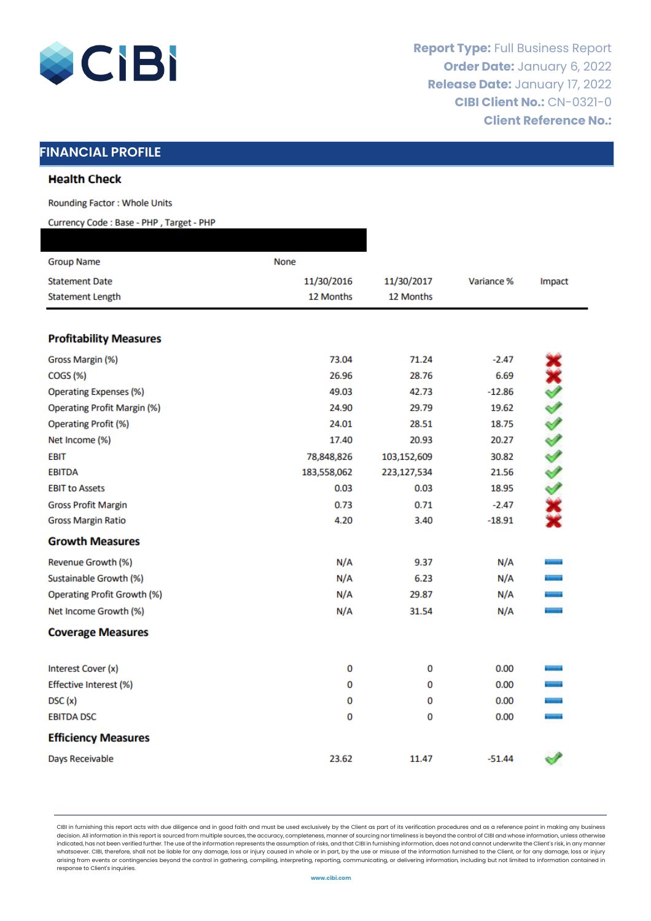

# **FINANCIAL PROFILE**

#### **Health Check**

**Rounding Factor: Whole Units** 

Currency Code: Base - PHP, Target - PHP

| <b>Group Name</b>                  | None        |             |            |           |
|------------------------------------|-------------|-------------|------------|-----------|
| <b>Statement Date</b>              | 11/30/2016  | 11/30/2017  | Variance % | Impact    |
| <b>Statement Length</b>            | 12 Months   | 12 Months   |            |           |
|                                    |             |             |            |           |
| <b>Profitability Measures</b>      |             |             |            |           |
| Gross Margin (%)                   | 73.04       | 71.24       | $-2.47$    |           |
| COGS (%)                           | 26.96       | 28.76       | 6.69       |           |
| <b>Operating Expenses (%)</b>      | 49.03       | 42.73       | $-12.86$   | xxxxxxxxx |
| <b>Operating Profit Margin (%)</b> | 24.90       | 29.79       | 19.62      |           |
| <b>Operating Profit (%)</b>        | 24.01       | 28.51       | 18.75      |           |
| Net Income (%)                     | 17.40       | 20.93       | 20.27      |           |
| <b>EBIT</b>                        | 78,848,826  | 103,152,609 | 30.82      |           |
| <b>EBITDA</b>                      | 183,558,062 | 223,127,534 | 21.56      |           |
| <b>EBIT to Assets</b>              | 0.03        | 0.03        | 18.95      |           |
| <b>Gross Profit Margin</b>         | 0.73        | 0.71        | $-2.47$    |           |
| <b>Gross Margin Ratio</b>          | 4.20        | 3.40        | $-18.91$   |           |
| <b>Growth Measures</b>             |             |             |            |           |
| Revenue Growth (%)                 | N/A         | 9.37        | N/A        |           |
| Sustainable Growth (%)             | N/A         | 6.23        | N/A        |           |
| <b>Operating Profit Growth (%)</b> | N/A         | 29.87       | N/A        | ÷         |
| Net Income Growth (%)              | N/A         | 31.54       | N/A        | ÷         |
| <b>Coverage Measures</b>           |             |             |            |           |
| Interest Cover (x)                 | 0           | 0           | 0.00       |           |
| Effective Interest (%)             | 0           | 0           | 0.00       |           |
| DSC(x)                             | 0           | 0           | 0.00       | ÷         |
| <b>EBITDA DSC</b>                  | 0           | 0           | 0.00       | -         |
| <b>Efficiency Measures</b>         |             |             |            |           |
| Days Receivable                    | 23.62       | 11.47       | $-51.44$   |           |

CIBI in furnishing this report acts with due diligence and in good faith and must be used exclusively by the Client as part of its verification procedures and as a reference point in making any business decision. All information in this report is sourced from multiple sources, the accuracy, completeness, manner of sourcing nor timeliness is beyond the control of CIBI and whose information, unless otherwise indicated, has not been verified further. The use of the information represents the assumption of risks, and that CIBI in furnishing information, does not and cannot underwrite the Client's risk, in any manner whatsoever. CIBI, therefore, shall not be liable for any damage, loss or injury caused in whole or in part, by the use or misuse of the information furnished to the Client, or for any damage, loss or injury arising from events or contingencies beyond the control in gathering, compiling, interpreting, reporting, communicating, or delivering information, including but not limited to information contained in response to Client's inquiries.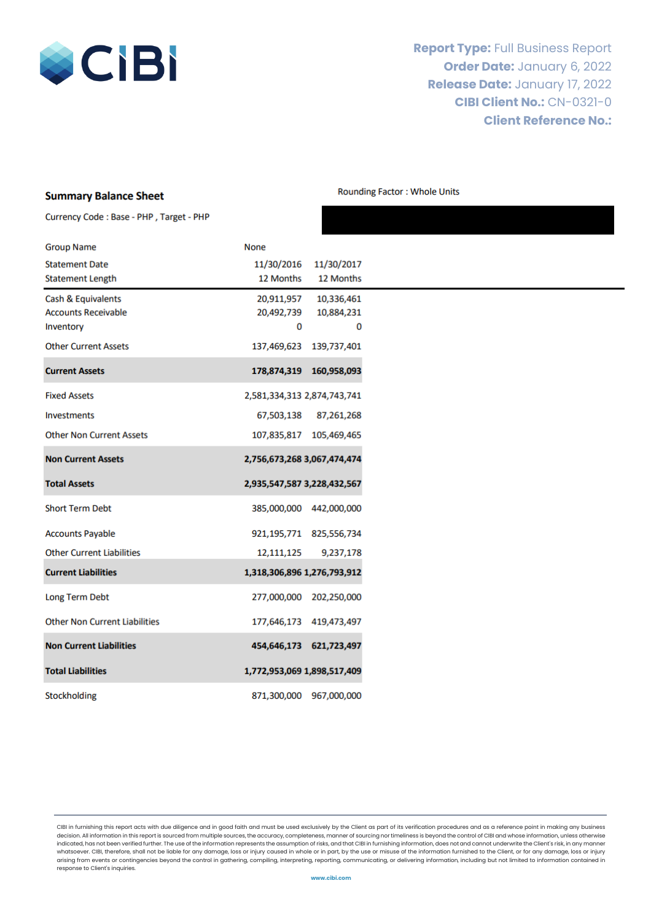

#### **Summary Balance Sheet**

**Rounding Factor: Whole Units** 

Currency Code: Base - PHP, Target - PHP

| <b>Group Name</b>                    | <b>None</b>                 |                             |
|--------------------------------------|-----------------------------|-----------------------------|
| <b>Statement Date</b>                | 11/30/2016                  | 11/30/2017                  |
| <b>Statement Length</b>              | 12 Months                   | 12 Months                   |
| Cash & Equivalents                   | 20,911,957                  | 10,336,461                  |
| <b>Accounts Receivable</b>           | 20,492,739                  | 10,884,231                  |
| Inventory                            | 0                           | 0                           |
| <b>Other Current Assets</b>          | 137,469,623                 | 139,737,401                 |
| <b>Current Assets</b>                |                             | 178,874,319 160,958,093     |
| <b>Fixed Assets</b>                  | 2,581,334,313 2,874,743,741 |                             |
| <b>Investments</b>                   | 67,503,138                  | 87,261,268                  |
| <b>Other Non Current Assets</b>      |                             | 107,835,817 105,469,465     |
| <b>Non Current Assets</b>            | 2,756,673,268 3,067,474,474 |                             |
| <b>Total Assets</b>                  | 2,935,547,587 3,228,432,567 |                             |
| <b>Short Term Debt</b>               |                             | 385,000,000 442,000,000     |
| <b>Accounts Payable</b>              |                             | 921, 195, 771 825, 556, 734 |
| <b>Other Current Liabilities</b>     | 12,111,125                  | 9,237,178                   |
| <b>Current Liabilities</b>           | 1,318,306,896 1,276,793,912 |                             |
| Long Term Debt                       | 277,000,000                 | 202,250,000                 |
| <b>Other Non Current Liabilities</b> |                             | 177,646,173 419,473,497     |
| <b>Non Current Liabilities</b>       | 454,646,173                 | 621,723,497                 |
| <b>Total Liabilities</b>             | 1,772,953,069 1,898,517,409 |                             |
| Stockholding                         |                             | 871,300,000 967,000,000     |

CIBI in furnishing this report acts with due diligence and in good faith and must be used exclusively by the Client as part of its verification procedures and as a reference point in making any business decision. All information in this report is sourced from multiple sources, the accuracy, completeness, manner of sourcing nor timeliness is beyond the control of CIBI and whose information, unless otherwise indicated, has not been verified further. The use of the information represents the assumption of risks, and that CIBI in furnishing information, does not and cannot underwrite the Client's risk, in any manner whatsoever. CIBI, therefore, shall not be liable for any damage, loss or injury caused in whole or in part, by the use or misuse of the information furnished to the Client, or for any damage, loss or injury arising from events or contingencies beyond the control in gathering, compiling, interpreting, reporting, communicating, or delivering information, including but not limited to information contained in response to Client's inquiries.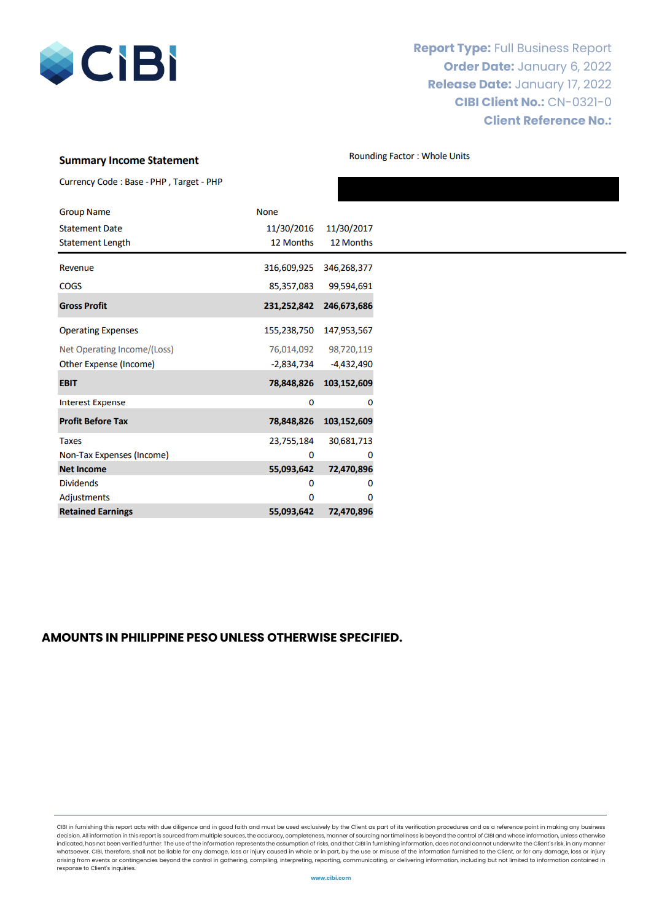

#### **Summary Income Statement**

**Rounding Factor: Whole Units** 

| Currency Code: Base - PHP, Target - PHP |  |  |  |  |  |
|-----------------------------------------|--|--|--|--|--|
|-----------------------------------------|--|--|--|--|--|

| <b>Group Name</b>             | <b>None</b> |             |
|-------------------------------|-------------|-------------|
| <b>Statement Date</b>         | 11/30/2016  | 11/30/2017  |
| <b>Statement Length</b>       | 12 Months   | 12 Months   |
| Revenue                       | 316,609,925 | 346,268,377 |
| <b>COGS</b>                   | 85,357,083  | 99,594,691  |
| <b>Gross Profit</b>           | 231,252,842 | 246,673,686 |
| <b>Operating Expenses</b>     | 155,238,750 | 147,953,567 |
| Net Operating Income/(Loss)   | 76,014,092  | 98,720,119  |
| <b>Other Expense (Income)</b> | -2,834,734  | -4,432,490  |
| <b>EBIT</b>                   | 78,848,826  | 103,152,609 |
| <b>Interest Expense</b>       | 0           | o           |
| <b>Profit Before Tax</b>      | 78,848,826  | 103,152,609 |
| <b>Taxes</b>                  | 23,755,184  | 30,681,713  |
| Non-Tax Expenses (Income)     | 0           | 0           |
| <b>Net Income</b>             | 55,093,642  | 72,470,896  |
| <b>Dividends</b>              | 0           | o           |
| Adjustments                   | 0           | n           |
| <b>Retained Earnings</b>      | 55,093,642  | 72,470,896  |

#### **AMOUNTS IN PHILIPPINE PESO UNLESS OTHERWISE SPECIFIED.**

CIBI in furnishing this report acts with due diligence and in good faith and must be used exclusively by the Client as part of its verification procedures and as a reference point in making any business decision. All information in this report is sourced from multiple sources, the accuracy, completeness, manner of sourcing nor timeliness is beyond the control of CIBI and whose information, unless otherwise indicated, has not been verified further. The use of the information represents the assumption of risks, and that CIBI in furnishing information, does not and cannot underwrite the Client's risk, in any manner whatsoever. CIBI, therefore, shall not be liable for any damage, loss or injury caused in whole or in part, by the use or misuse of the information furnished to the Client, or for any damage, loss or injury arising from events or contingencies beyond the control in gathering, compiling, interpreting, reporting, communicating, or delivering information, including but not limited to information contained in response to Client's inquiries.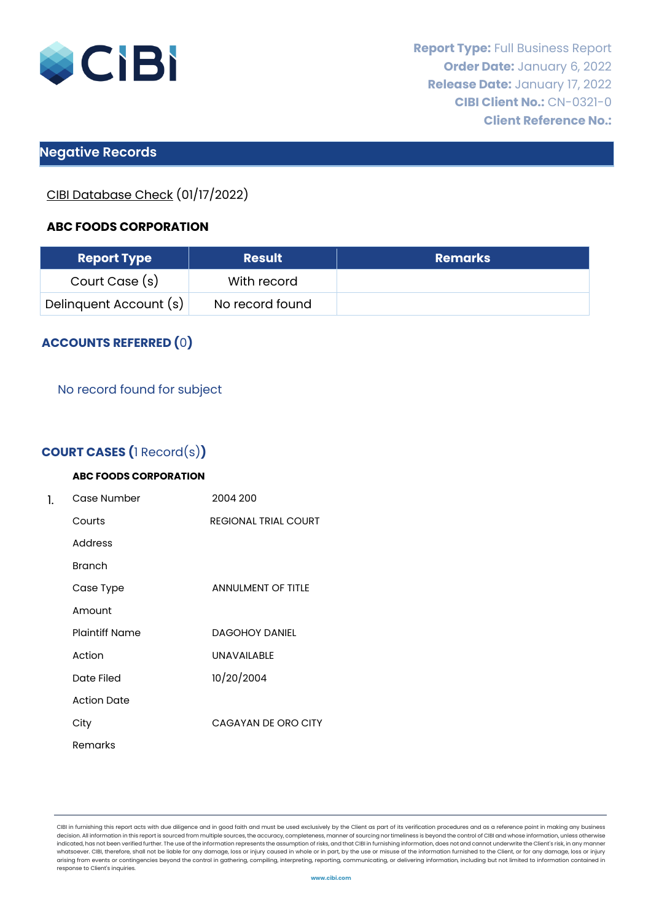

# **Negative Records**

CIBI Database Check (01/17/2022)

### **ABC FOODS CORPORATION**

| <b>Report Type</b>     | <b>Result</b>   | <b>Remarks</b> |
|------------------------|-----------------|----------------|
| Court Case (s)         | With record     |                |
| Delinquent Account (s) | No record found |                |

# **ACCOUNTS REFERRED (**0**)**

#### No record found for subject

# **COURT CASES (**1 Record(s)**)**

| 1. | Case Number           | 2004 200                    |  |  |  |  |
|----|-----------------------|-----------------------------|--|--|--|--|
|    | Courts                | <b>REGIONAL TRIAL COURT</b> |  |  |  |  |
|    | Address               |                             |  |  |  |  |
|    | <b>Branch</b>         |                             |  |  |  |  |
|    | Case Type             | <b>ANNULMENT OF TITLE</b>   |  |  |  |  |
|    | Amount                |                             |  |  |  |  |
|    | <b>Plaintiff Name</b> | <b>DAGOHOY DANIEL</b>       |  |  |  |  |
|    | Action                | <b>UNAVAILABLE</b>          |  |  |  |  |
|    | Date Filed            | 10/20/2004                  |  |  |  |  |
|    | <b>Action Date</b>    |                             |  |  |  |  |
|    | City                  | CAGAYAN DE ORO CITY         |  |  |  |  |
|    | Remarks               |                             |  |  |  |  |

CIBI in furnishing this report acts with due diligence and in good faith and must be used exclusively by the Client as part of its verification procedures and as a reference point in making any business decision. All information in this report is sourced from multiple sources, the accuracy, completeness, manner of sourcing nor timeliness is beyond the control of CIBI and whose information, unless otherwise indicated, has not been verified further. The use of the information represents the assumption of risks, and that CIBI in furnishing information, does not and cannot underwrite the Client's risk, in any manner whatsoever. CIBI, therefore, shall not be liable for any damage, loss or injury caused in whole or in part, by the use or misuse of the information furnished to the Client, or for any damage, loss or injury arising from events or contingencies beyond the control in gathering, compiling, interpreting, reporting, communicating, or delivering information, including but not limited to information contained in response to Client's inquiries.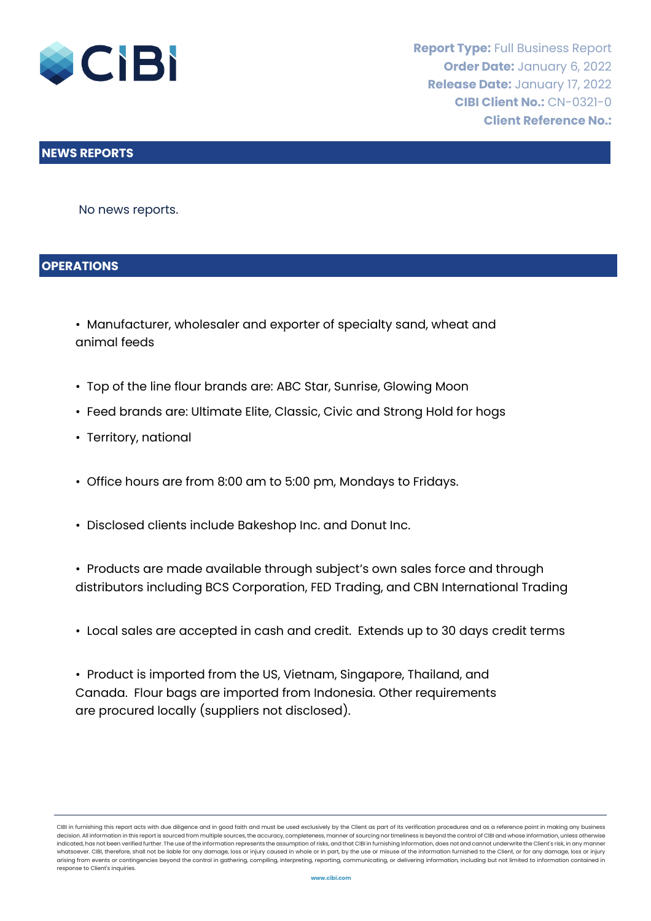

#### **NEWS REPORTS**

No news reports.

#### **OPERATIONS**

- Manufacturer, wholesaler and exporter of specialty sand, wheat and animal feeds
- Top of the line flour brands are: ABC Star, Sunrise, Glowing Moon
- Feed brands are: Ultimate Elite, Classic, Civic and Strong Hold for hogs
- Territory, national
- Office hours are from 8:00 am to 5:00 pm, Mondays to Fridays.
- Disclosed clients include Bakeshop Inc. and Donut Inc.
- Products are made available through subject's own sales force and through distributors including BCS Corporation, FED Trading, and CBN International Trading
- Local sales are accepted in cash and credit. Extends up to 30 days credit terms
- Product is imported from the US, Vietnam, Singapore, Thailand, and Canada. Flour bags are imported from Indonesia. Other requirements are procured locally (suppliers not disclosed).

CIBI in furnishing this report acts with due diligence and in good faith and must be used exclusively by the Client as part of its verification procedures and as a reference point in making any business<br>decision. All infor decision. All information in this report is sourced from multiple sources, the accuracy, completeness, manner of sourcing nor timeliness is beyond the control of CIBI and whose information, unle indicated, has not been verified further. The use of the information represents the assumption of risks, and that CIBI in furnishing information, does not and cannot underwrite the Client's risk, in any manner whatsoever. CIBI, therefore, shall not be liable for any damage, loss or injury caused in whole or in part, by the use or misuse of the information furnished to the Client, or for any damage, loss or injury arising from events or contingencies beyond the control in gathering, compiling, interpreting, reporting, communicating, or delivering information, including but not limited to information contained in response to Client's inquiries.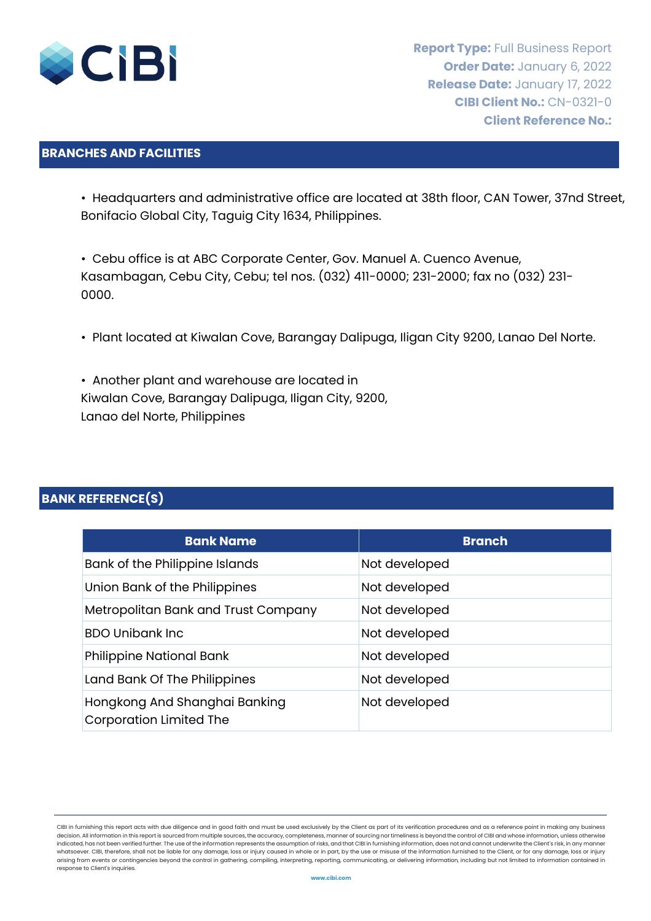

### **BRANCHES AND FACILITIES**

• Headquarters and administrative office are located at 38th floor, CAN Tower, 37nd Street, Bonifacio Global City, Taguig City 1634, Philippines.

• Cebu office is at ABC Corporate Center, Gov. Manuel A. Cuenco Avenue, Kasambagan, Cebu City, Cebu; tel nos. (032) 411-0000; 231-2000; fax no (032) 231- 0000.

- Plant located at Kiwalan Cove, Barangay Dalipuga, Iligan City 9200, Lanao Del Norte.
- Another plant and warehouse are located in Kiwalan Cove, Barangay Dalipuga, Iligan City, 9200, Lanao del Norte, Philippines

### **BANK REFERENCE(S)**

| <b>Bank Name</b>                                                | <b>Branch</b> |
|-----------------------------------------------------------------|---------------|
| Bank of the Philippine Islands                                  | Not developed |
| Union Bank of the Philippines                                   | Not developed |
| Metropolitan Bank and Trust Company                             | Not developed |
| <b>BDO Unibank Inc.</b>                                         | Not developed |
| <b>Philippine National Bank</b>                                 | Not developed |
| Land Bank Of The Philippines                                    | Not developed |
| Hongkong And Shanghai Banking<br><b>Corporation Limited The</b> | Not developed |

CIBI in furnishing this report acts with due diligence and in good faith and must be used exclusively by the Client as part of its verification procedures and as a reference point in making any business<br>decision. All infor decision. All information in this report is sourced from multiple sources, the accuracy, completeness, manner of sourcing nor timeliness is beyond the control of CIBI and whose information, unle indicated, has not been verified further. The use of the information represents the assumption of risks, and that CIBI in furnishing information, does not and cannot underwrite the Client's risk, in any manner whatsoever. CIBI, therefore, shall not be liable for any damage, loss or injury caused in whole or in part, by the use or misuse of the information furnished to the Client, or for any damage, loss or injury arising from events or contingencies beyond the control in gathering, compiling, interpreting, reporting, communicating, or delivering information, including but not limited to information contained in response to Client's inquiries.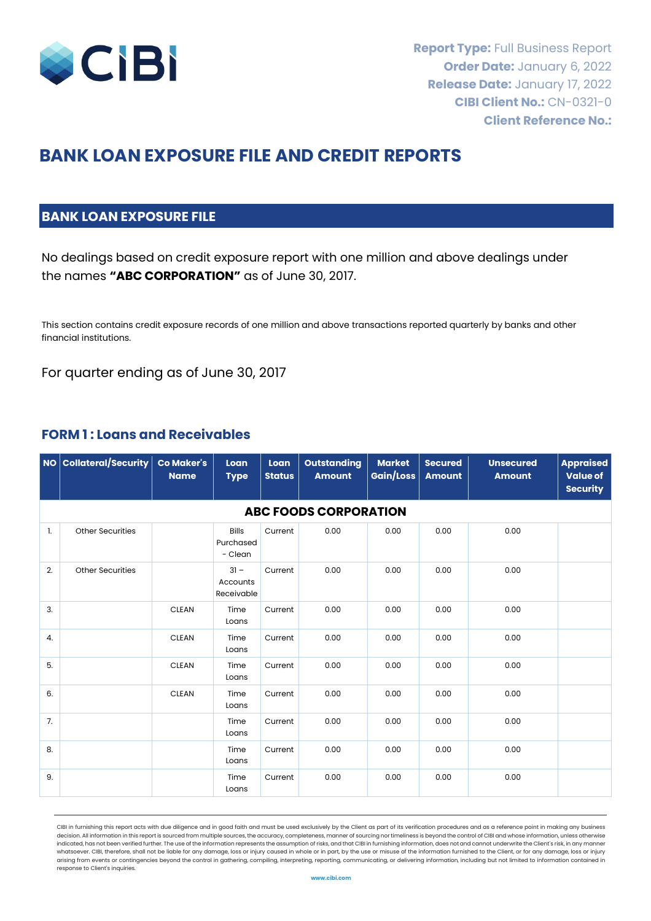

# **BANK LOAN EXPOSURE FILE AND CREDIT REPORTS**

# **BANK LOAN EXPOSURE FILE**

No dealings based on credit exposure report with one million and above dealings under the names **"ABC CORPORATION"** as of June 30, 2017.

This section contains credit exposure records of one million and above transactions reported quarterly by banks and other financial institutions.

For quarter ending as of June 30, 2017

### **FORM 1 : Loans and Receivables**

|    | $\vert$ NO $\vert$ Collateral/Security $\vert$ | <b>Co Maker's</b><br><b>Name</b> | Loan<br><b>Type</b>                  | Loan<br><b>Status</b> | <b>Outstanding</b><br><b>Amount</b> | <b>Market</b><br>Gain/Loss | <b>Secured</b><br><b>Amount</b> | <b>Unsecured</b><br><b>Amount</b> | <b>Appraised</b><br><b>Value of</b><br><b>Security</b> |  |  |  |  |  |
|----|------------------------------------------------|----------------------------------|--------------------------------------|-----------------------|-------------------------------------|----------------------------|---------------------------------|-----------------------------------|--------------------------------------------------------|--|--|--|--|--|
|    | <b>ABC FOODS CORPORATION</b>                   |                                  |                                      |                       |                                     |                            |                                 |                                   |                                                        |  |  |  |  |  |
| 1. | <b>Other Securities</b>                        |                                  | <b>Bills</b><br>Purchased<br>- Clean | Current               | 0.00                                | 0.00                       | 0.00                            | 0.00                              |                                                        |  |  |  |  |  |
| 2. | <b>Other Securities</b>                        |                                  | $31 -$<br>Accounts<br>Receivable     | Current               | 0.00                                | 0.00                       | 0.00                            | 0.00                              |                                                        |  |  |  |  |  |
| 3. |                                                | <b>CLEAN</b>                     | Time<br>Loans                        | Current               | 0.00                                | 0.00                       | 0.00                            | 0.00                              |                                                        |  |  |  |  |  |
| 4. |                                                | <b>CLEAN</b>                     | Time<br>Loans                        | Current               | 0.00                                | 0.00                       | 0.00                            | 0.00                              |                                                        |  |  |  |  |  |
| 5. |                                                | <b>CLEAN</b>                     | Time<br>Loans                        | Current               | 0.00                                | 0.00                       | 0.00                            | 0.00                              |                                                        |  |  |  |  |  |
| 6. |                                                | <b>CLEAN</b>                     | Time<br>Loans                        | Current               | 0.00                                | 0.00                       | 0.00                            | 0.00                              |                                                        |  |  |  |  |  |
| 7. |                                                |                                  | Time<br>Loans                        | Current               | 0.00                                | 0.00                       | 0.00                            | 0.00                              |                                                        |  |  |  |  |  |
| 8. |                                                |                                  | Time<br>Loans                        | Current               | 0.00                                | 0.00                       | 0.00                            | 0.00                              |                                                        |  |  |  |  |  |
| 9. |                                                |                                  | Time<br>Loans                        | Current               | 0.00                                | 0.00                       | 0.00                            | 0.00                              |                                                        |  |  |  |  |  |

CIBI in furnishing this report acts with due diligence and in good faith and must be used exclusively by the Client as part of its verification procedures and as a reference point in making any business<br>decision. All infor decision. All information in this report is sourced from multiple sources, the accuracy, completeness, manner of sourcing nor timeliness is beyond the control of CIBI and whose information, unle indicated, has not been verified further. The use of the information represents the assumption of risks, and that CIBI in furnishing information, does not and cannot underwrite the Client's risk, in any manner whatsoever. CIBI, therefore, shall not be liable for any damage, loss or injury caused in whole or in part, by the use or misuse of the information furnished to the Client, or for any damage, loss or injury arising from events or contingencies beyond the control in gathering, compiling, interpreting, reporting, communicating, or delivering information, including but not limited to information contained in response to Client's inquiries.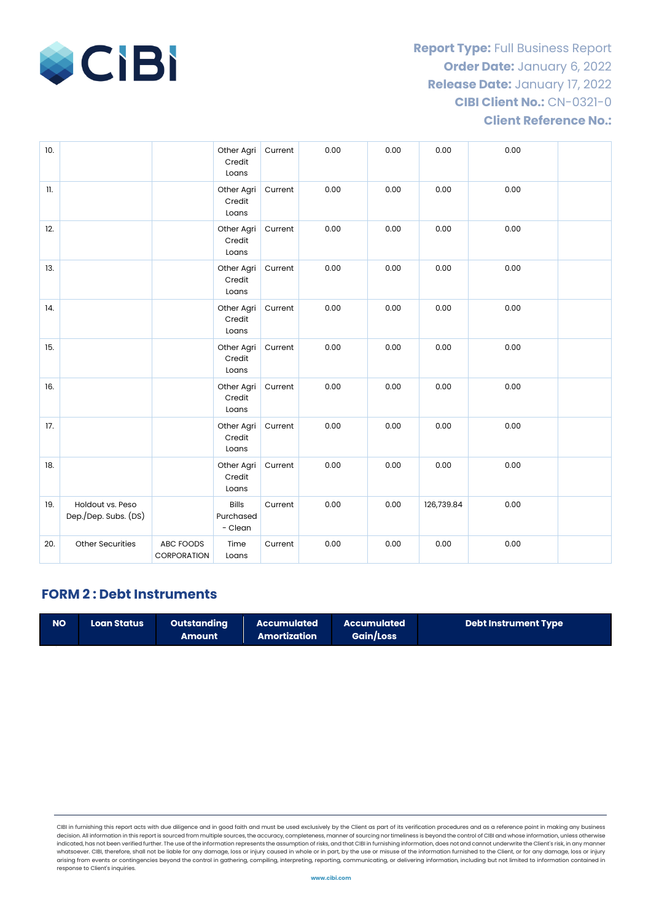

| 10. |                                          |                          | Other Agri<br>Credit<br>Loans        | Current | 0.00 | 0.00 | 0.00       | 0.00 |  |
|-----|------------------------------------------|--------------------------|--------------------------------------|---------|------|------|------------|------|--|
| 11. |                                          |                          | Other Agri<br>Credit<br>Loans        | Current | 0.00 | 0.00 | 0.00       | 0.00 |  |
| 12. |                                          |                          | Other Agri<br>Credit<br>Loans        | Current | 0.00 | 0.00 | 0.00       | 0.00 |  |
| 13. |                                          |                          | Other Agri<br>Credit<br>Loans        | Current | 0.00 | 0.00 | 0.00       | 0.00 |  |
| 14. |                                          |                          | Other Agri<br>Credit<br>Loans        | Current | 0.00 | 0.00 | 0.00       | 0.00 |  |
| 15. |                                          |                          | Other Agri<br>Credit<br>Loans        | Current | 0.00 | 0.00 | 0.00       | 0.00 |  |
| 16. |                                          |                          | Other Agri<br>Credit<br>Loans        | Current | 0.00 | 0.00 | 0.00       | 0.00 |  |
| 17. |                                          |                          | Other Agri<br>Credit<br>Loans        | Current | 0.00 | 0.00 | 0.00       | 0.00 |  |
| 18. |                                          |                          | Other Agri<br>Credit<br>Loans        | Current | 0.00 | 0.00 | 0.00       | 0.00 |  |
| 19. | Holdout vs. Peso<br>Dep./Dep. Subs. (DS) |                          | <b>Bills</b><br>Purchased<br>- Clean | Current | 0.00 | 0.00 | 126,739.84 | 0.00 |  |
| 20. | Other Securities                         | ABC FOODS<br>CORPORATION | Time<br>Loans                        | Current | 0.00 | 0.00 | 0.00       | 0.00 |  |

# **FORM 2 : Debt Instruments**

| <b>NO</b> | <b>Loan Status</b> | <b>Outstanding</b><br>Amount | Accumulated<br>Amortization | Accumulated<br>Gain/Loss | <b>Debt Instrument Type</b> |
|-----------|--------------------|------------------------------|-----------------------------|--------------------------|-----------------------------|
|-----------|--------------------|------------------------------|-----------------------------|--------------------------|-----------------------------|

CIBI in furnishing this report acts with due diligence and in good faith and must be used exclusively by the Client as part of its verification procedures and as a reference point in making any business decision. All information in this report is sourced from multiple sources, the accuracy, completeness, manner of sourcing nor timeliness is beyond the control of CIBI and whose information, unless otherwise indicated, has not been verified further. The use of the information represents the assumption of risks, and that CIBI in furnishing information, does not and cannot underwrite the Client's risk, in any manner whatsoever. CIBI, therefore, shall not be liable for any damage, loss or injury caused in whole or in part, by the use or misuse of the information furnished to the Client, or for any damage, loss or injury<br>arising from ev response to Client's inquiries.